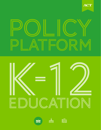







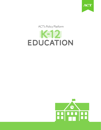

ACT's Policy Platform

# k-12 EDUCATION

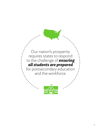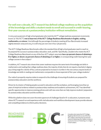#### For well over a decade, ACT research has defined college readiness as the acquisition of the knowledge and skills a student needs to enroll and succeed in credit-bearing, first-year courses at a postsecondary institution without remediation.

In 2013, just 53 percent of high school graduates who took the ACT® college readiness assessment (commonly known as "the ACT") met at least two of the ACT College Readiness Benchmarks in English, reading, mathematics, or science.<sup>1</sup> And although the percentage of students meeting all four Benchmarks increased slightly between 2009 and 2013, it is still only just over one in four (26 percent).

The ACT College Readiness Benchmarks reflect the standard that all high school graduates need to reach to be prepared for success in postsecondary education, work, and life.<sup>2</sup> Specifically, a student who meets the ACT College Readiness Benchmark on any of the four ACT subject-area tests has a 50 percent chance of obtaining a B or higher, or about a 75 percent chance of obtaining a C or higher, in corresponding credit-bearing first-year college courses in that subject.3

In addition, ACT research also shows that career readiness requires the same level of knowledge and skills in mathematics and reading that college readiness does: the majority of jobs that do not require a bachelor's degree, pay a living wage for a family of four, and are projected to increase in number in the 21st century require levels of knowledge and skills in reading and mathematics comparable to those expected of first-year college students.<sup>4</sup>

Our nation's prosperity requires states to respond to the challenge of ensuring all students are prepared for postsecondary education and the workforce.

Driven by its mission of helping people succeed in education and the workplace, and leveraging more than 50 years of empirical evidence related to postsecondary readiness and academic achievement, ACT has identified specific opportunities to improve existing policies and craft new ones that can help improve students' preparation for postsecondary education and the workforce.

While this platform does not cover the entire spectrum of challenges faced in K-12 education, it presents areas where ACT's research on and experience with vital education and workforce development issues provide relevant and compelling evidence to inform policy decisions.

### readiness *in numbers*



A student who meets the ACT College Readiness Benchmark on any of the four ACT subject-area tests has a 50 percent chance of obtaining a B or higher, or about a 75 percent chance of obtaining a C or higher in each subject.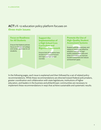## ACT's K–12 education policy platform focuses on three main issues:

#### **Focus on Readiness for All Students**

Ensure that federal policies focus on the goal of college and career readiness for all students.

1 2 3 **Support the Implementation of a High School Core Curriculum and Rigorous Coursework**

Ensure that all students have access to a core curriculum and rigorous high school courses.

#### **Promote the Use of High-Quality Student Assessment Systems**

Support policies, practices, and research toward the effective adoption and use of highquality assessment data and other information to improve student outcomes and reduce achievement gaps.

In the following pages, each issue is explained and then followed by a set of related policy recommendations. While these recommendations are directed toward federal policymakers, greater coordination and collaboration with state legislatures, institutions of higher education, and leaders in the business and philanthropic communities are necessary to implement these recommendations in ways that achieve sustainable and systematic results.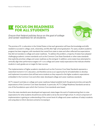#### **FOCUS ON READINESS FOR ALL STUDENTS** 1

*Ensure that federal policies focus on the goal of college and career readiness for all students.*



The promise of K–12 education in the United States is that each generation will have the knowledge and skills needed to succeed in college, work, citizenship, and life after high school graduation. For years, student academic progress has been stagnant, with standards that varied from state to state and often reflected low expectations that did not translate to college and career readiness. To address this problem, a majority of states have adopted challenging academic content standards such as the Common Core State Standards or other state standards that explicitly prioritize college and career readiness as the end goal. In addition, some states have attempted to vertically align their performance targets in K–12 to college and career ready expectations that indicate whether students in early grades are on target for later success.

The implementation of higher academic standards such as the Common Core State Standards represents a watershed moment in U.S. education, and therefore serves as an opportunity for all stakeholders to develop and implement innovations that will best serve students as they respond to the higher academic expectations embedded in the Common Core and other state-developed college and career readiness standards.

ACT's research and data on college and career readiness helped establish both the general priorities and specific expectations of the Common Core State Standards. In particular, ACT's College Readiness Standards served as one of the foundations upon which the Common Core standards were based.

Once the state standards were developed and approved, states began the work of implementing them to raise expectations for what students should know and be able to do by the end of high school. A critical component of implementation is gaining an understanding of the current level of college and career readiness of today's students and using data to inform decisions aimed at increasing it.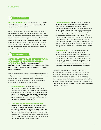1st **RECOMMENDATION**

DEFINE READINESS: *To better assess and monitor student achievement, adopt a common definition of college and career readiness.*

Supporting students' progress towards college and career readiness is a paramount goal of federal education policies from early childhood through postsecondary learning. However, there is not always common agreement among stakeholders about the definition of college and career readiness. Federal legislation should include an explicit definition representing a clear and verifiable standard of what it means to be ready for college and career, to ensure that every state, district, and school is working toward the same goal.

2nd **RECOMMENDATION**

#### SUPPORT ADOPTION AND IMPLEMENTATION OF COLLEGE AND CAREER READINESS

STANDARDS: *Continue to support states' implementation of college and career readiness standards in K–12 education to better prepare students for college and career success.*

Many students arrive at college academically unprepared to do college-level work. As states continue to define and implement more rigorous college and career readiness standards, including the Common Core State Standards, ACT research confirms the urgent need for such standards:

- **Falling short overall:** ACT's College Readiness Benchmarks indicate likely success in credit-bearing, first-year postsecondary courses in English, mathematics, science, and the social sciences.<sup>5</sup> In 2013, 53 percent of students met at least two of the ACT College Readiness Benchmarks on the ACT. However, just 26 percent of the 1.8 million ACT-tested high school graduates met all four ACT College Readiness Benchmarks.
- **Stark situation for underrepresented students:** In 2013, 20 percent of African American graduates<sup>6</sup> and 37 percent of Hispanic graduates<sup>7</sup> met at least two ACT College Readiness Benchmarks. Approximately 33 percent of low-income8 and 29 percent of first-generation students,<sup>9</sup> respectively, met at least two Benchmarks. In comparison, 53 percent of graduates overall<sup>10</sup> met at least two ACT College Readiness Benchmarks, and 71 percent of Asian students<sup>11</sup> met at least two Benchmarks.
- **Slipping behind early:** Students who score higher on college and career readiness assessments in eighth grade are more likely to meet college and career readiness standards by the time they graduate from high school. These students also more frequently pursue and succeed in postsecondary education.<sup>12</sup> Meanwhile, those who fall behind college and career readiness targets in eighth grade have a very difficult time catching up. ACT research has also shown that a substantial percentage of fourth graders from all demographic groups were far off target (defined as missing target scores by more than one standard deviation) in mathematics, reading, and science, validating a need to begin the move to standards in earlier years.<sup>13</sup>
- **Long-term lag**: In 2009, 56 percent of students met at least two ACT College Readiness Benchmarks, compared to 53 percent in 2013. This means that while the number of students who took the ACT increased, during the past four years, overall performance on this metric has decreased by 3 percentage points.14 The lag must be rapidly reversed and the pace of improvement accelerated for more students to enter postsecondary programs without needing developmental coursework.

Recent efforts incorporated by the U.S. Department of Education through the federal Elementary and Secondary Education Act (ESEA) flexibility application process have supported states in continuing the work of transitioning students, teachers, and schools to a system aligned to college and career readiness standards. But until more students meet these higher academic standards in K–12 education, we will see the above trends persist.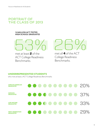## Portrait of the Class of 2013

#### 1.8 MILLION ACT-TESTED High School Graduates



met at least **2** of the ACT College Readiness Benchmarks.



met all **4** of the ACT College Readiness Benchmarks.

#### **Underrepresented Students**

who met at least 2 ACT College Readiness Benchmarks

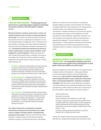**3<sup>rd</sup>** RECOMMENDATION

LOOK BEYOND GRADES: *The federal government should invest in supporting programs targeted at developing the academic behaviors that aid students' academic success.*

Monitoring students' academic performance is critical, but academic behaviors also contribute to student persistence and success. For example, low levels of student motivation the interest and drive to complete their schoolwork—is one of the issues teachers struggle with most.<sup>15</sup> If students are to be successful in meeting a core set of academic standards, they first need to be sufficiently motivated to persist at their work. The behavioral habits that contribute most directly to student postsecondary success include motivation, social engagement, and self-regulation.<sup>16</sup> Measuring these and other academically related factors is possible, and doing so can assess risk at important points in students' academic trajectories and identify areas of need and support.<sup>17</sup> Among these behaviors are:

- **Motivation:** Personal characteristics that help students succeed academically by focusing and maintaining energies on goal-directed activities. Middle school students with higher motivation scores earned higher grades and had higher persistence rates in high school.<sup>18</sup>
- **Social engagement:** Interpersonal factors that influence students' successful integration into their environment. Middle school students who scored high in social engagement were more likely to participate in extracurricular activities. Students who participated in more extracurricular activities had higher postsecondary retention rates.<sup>19</sup>
- **Self-regulation:** The thinking processes and emotional responses of students that govern how well they monitor, regulate, and control their behavior related to school and learning. Student self-regulation—as expressed, for example, in numbers of disciplinary events and suspensions—is an important indicator of student conduct in school.<sup>20</sup>

ACT research shows that a combination of academic achievement and behavioral characteristics from middle school to college is the best predictor of postsecondary persistence and success.<sup>21</sup> Students often fall short of their potential in college not because they lack the requisite intellectual capacity, but because they have not developed

behaviors and habits that would help them successfully navigate college coursework and life. Similarly, low retention and degree attainment rates observed at U.S. postsecondary institutions affirm the importance of persistence and commitment.22 Academic behaviors can contribute to general work attitudes and conduct, such as diligence on the job, persistence to task completion, cooperation, teamwork, and rule compliance; are frequently noted as critical behaviors expected by employers;<sup>23</sup> and are important in overall job effectiveness.24 Cultivating behavioral habits that contribute to postsecondary and workforce achievement can have a noticeable impact on students' achievement and persistence levels.

#### 4th **RECOMMENDATION**

IMPROVE ACCESS TO HIGH-QUALITY EARLY EDUCATION: *Encourage federal funding toward early childhood education programs from prekindergarten to third grade so that more children are ready to learn.*

Improving college and career readiness for all students needs to begin as early as kindergarten — where gaps between low-income students and their more advantaged peers already exist.Large numbers of disadvantaged students enter kindergarten behind in early reading and mathematics skills, oral language development, vocabulary, and general knowledge. Gaps also exist in the development of academic and social behaviors such as listening, following instructions, and resolving conflicts. Getting students off to a good start in the early grades is vitally important for several reasons: 25

- learning takes time;
- learning is cumulative;
- student interests often develop at an early age;
- the level of academic achievement that students attain by eighth grade has a larger impact on their college and career readiness by the time they graduate from high school than anything that happens academically in high school; <sup>26</sup> and
- empirical evidence shows the difficulty of catching students up in middle and high school.

Further, ACT research shows that early learning facilitates later learning—students who already know more about a topic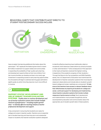#### Behavioral habits that contribute most directly to student postsecondary success include:



have an easier time learning additional information about the same topic.<sup>27</sup> ACT applauds the federal government's recent \$1.4 billion investment to support states and communities in expanding the availability of high-quality early learning and development opportunities so that more children from low-income families can develop and learn at an early age. Investment in expanding access to early learning opportunities for all students will begin to address learning gaps well before eighth grade, by which time they become much more difficult to reverse.

#### 5<sup>th</sup> RECOMMENDATION

#### SUPPORT STATES' DEVELOPMENT AND USE OF ROBUST TEACHER EVALUATION

SYSTEMS: *Enable states to continue development and use of teacher evaluation systems that include multiple measures of performance—including student growth data—to identify effective teaching and focus teacher professional development and support.*

A key component in ensuring that students are ready for college and career is teacher quality. Teachers are an essential part of student learning and have long-term and substantial impact on students. But teacher evaluation systems designed

to identify effective teaching have traditionally relied on occasional, brief classroom observations by school principals or other administrators.<sup>28</sup> (One consequence of this approach is that nearly all teachers received the highest ranking, irrespective of the academic progress of their students.) Through the Race to the Top competition and ESEA flexibility waiver, the U.S. Department of Education has incentivized the development of teacher evaluation systems that move beyond classroom observations and include data on students' growth toward college and career readiness as a component. To help ensure that teachers have access to relevant feedback about their effectiveness at preparing all students for college and career, continued support for developing and implementing robust teacher evaluation systems that include multiple measures of performance is critical. Such development and implementation must proceed thoughtfully and be accompanied by education and communication about the appropriate use of student growth data in these systems.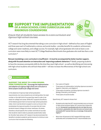#### **SUPPORT THE IMPLEMENTATION OF A HIGH SCHOOL CORE CURRICULUM AND RIGOROUS COURSEWORK** 2



*Ensure that all students have access to a core curriculum and rigorous high school courses.*

ACT research has long documented that taking a core curriculum in high school—defined as four years of English and three years each of mathematics, science, and social studies—provides benefits for academic achievement, college and career readiness, and college success. For example, high school graduates who took at least a core curriculum were more likely to meet ACT College Readiness Benchmarks than graduates who took less than a core curriculum<sup>29</sup>

But just mandating a core curriculum is insufficient—it must be accompanied by better teacher support, along with focused attention on instruction and improving academic behaviors.<sup>30</sup> Ideally, preparing students to have the necessary prerequisite skills by the time they reach high school—as well as identifying and intervening with high school students who still lack these skills<sup>31</sup>—will also increase the effectiveness of the high school core curriculum.

#### 1st **RECOMMENDATION**

SUPPORT THE MOVE TO A HIGH SCHOOL CORE CURRICULUM: *Encourage the implementation and adoption of a rigorous high school core curriculum to better prepare students for college and career.*

In the absence of rigorous high school graduation requirements, too many students are not taking either the right number or the right kind of courses they need in order to be ready for college and career. While ACT supports the efforts of the federal government to improve high school graduation rates, more must be done to support a core curriculum that emphasizes the type and quality of courses that will move students toward college and career readiness. All states, therefore, should specify the number and kinds of courses that students need to take to graduate academically ready for life after high school. ACT research has demonstrated the benefits to student academic performance of a minimum core curriculum that includes the following:

- Four years of English
- Three years of mathematics, including rigorous courses in Algebra I, Geometry, and Algebra II
- Three years of science, including rigorous courses in Biology, Chemistry, and Physics
- Three years of social studies

Specifically, ACT research shows that:

- Students who take the ACT-recommended core curriculum in high school achieve higher ACT scores than those who do not. Compared to graduates who do not take the core curriculum, graduates who take the core curriculum earn composite ACT scores that are, on average, three points higher.<sup>32</sup>
- More than 43 percent of ACT-tested 2013 high school graduates who completed the ACT-recommended core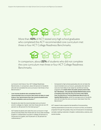

More than 43% of ACT-tested 2013 high school graduates who completed the ACT-recommended core curriculum met three or four ACT College Readiness Benchmarks.



In comparison, about 22% of students who did not complete the core curriculum met three or four ACT College Readiness Benchmarks.

curriculum met three or four ACT College Readiness Benchmarks. In comparison, about 22 percent of students who did not complete the core curriculum met three or four Benchmarks.<sup>33</sup>

- Low-income students who completed the ACTrecommended core curriculum were twice as likely to meet three or four benchmarks than low-income students who did not complete a core curriculum.<sup>34</sup>
- Students who take the recommended core curriculum enroll in college at a higher rate than those who do not (72 percent vs. 60 percent for the total group).<sup>35</sup>
- ACT-tested students who take the core curriculum in high school are less likely than those who do not to take remedial English or mathematics courses in college (10 percent vs. 16 percent for English, and 15 percent vs. 25 percent for mathematics).36
- Compared to high school graduates who do not take the recommended core curriculum, graduates who take the core are more likely to be ready for workforce training programs. In a state where all public school juniors take ACT WorkKeys®, the average Applied Mathematics score of students who took the core curriculum was higher than the Workforce Training Readiness Benchmark for Applied Mathematics, while the average score of students who did not take the core curriculum was lower than this Benchmark.37

ACT research also supports the benefits of incorporating reading expectations across the curriculum so that, as students progress through the grades, they are introduced to increasingly complex reading materials in English, mathematics, science, and social studies.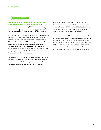#### 2st **RECOMMENDATION**

#### PROVIDE MORE STUDENTS WITH ACCESS TO RIGOROUS STEM COURSEWORK: *Increase support for the development of STEM-related courses for students with expressed and/or measured interests in STEM to meet the coming demand for a larger STEM workforce.*

Education in science, technology, engineering, and mathematics (STEM) is vital to the ability of the United States to maintain its position of global leadership and economic competitiveness. With more than 8.6 million STEM-related jobs anticipated by the year 2018, preparing and encouraging our students to pursue STEM majors and careers becomes even more important. Unfortunately, on average, ACT-tested students are struggling to succeed in STEM-related subjects—even students interested in pursuing these subjects.

While almost half (48.3 percent) of the ACT-tested high school graduating class of 2013 indicated some interest (expressed, measured, or both)<sup>38</sup> in STEM majors or occupations, too few students are meeting college and career readiness

benchmarks in these subjects. For example, only 51 percent of those students who indicated both an expressed and a measured interest in STEM met the ACT College Readiness Benchmark in science, and only 58 percent met the ACT College Readiness Benchmark in mathematics.

Given the rapid rise of STEM jobs compared to non-STEM jobs in the last ten years, $39$  a more rigorous offering of STEM courses is critical to bridging the gaps between students' interests and preparedness and the demands of the present and future economy. Communities, states, and the federal government need to better prepare students with an increase in STEM course opportunities to meet workforce demands.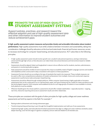#### **PROMOTE THE USE OF HIGH-QUALITY STUDENT ASSESSMENT SYSTEMS EXAMPLE THE USE OF HIGH-QUALITY STROMOTE THE USE OF HIGH-QUALITY STROMOTE STROMOTION**

*Support policies, practices, and research toward the effective adoption and use of high-quality assessment data and other information to improve student outcomes and reduce achievement gaps.*



A high-quality assessment system measures and provides timely and actionable information about student performance. High-quality assessments must strike a balance between innovation and sustainability, taking into consideration challenges faced by educators at the local and state levels: financial and human resources, access to necessary technology for computer-based testing, and educational practice. ACT subscribes to the following principles:

- A high-quality assessment system should monitor growth over a student's educational experience, starting in elementary school and through high school, so that educators can make timely instructional decisions and interventions based on reliable information.
- Assessments should be aligned, linked, and longitudinal in nature to be an effective tool for students, teachers, administrators, and parents in monitoring student progress.
- State assessments should be mindful of and incorporate the unique accessibility needs of English Language Learners and students with disabilities and be constructed in deep consultation with experts on these populations.
- Assessment formats should vary according to the type of standards that need to be measured. These multiple measures can be used to offer more comprehensive evaluations of student achievement, from multiple-choice and constructed-response assessments to performance tasks and project-based learning.
- Assessments should be offered through multiple platforms. While computer-based testing is highly applicable to formative assessments that can be conducted on an on-demand basis, paper-and-pencil testing may be a reality for states and districts with less technological capacity. Until computer and broadband access for such large groups of students is more available in schools, both platforms must be available.
- Wherever feasible given the chosen platform, assessments should offer multiple stakeholders—especially teachers—ongoing, real-time, interactive reporting and access to assessment results and other related data.

These principles are consistent with the goals of other principles for high-quality college and career readiness assessments set forth by experts in the field. For example: 40

- Raising student achievement and closing achievement gaps.
- Transforming teaching and learning, in part through the thoughtful implementation and valid use of new assessments.
- Implementing high-quality, internationally benchmarked assessments that align to college and career readiness standards, assess deeper learning, cover the full range of cognitive complexity, and are valid and reliable for all intended uses.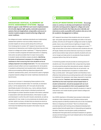1<sup>st</sup> RECOMMENDATION **1 RECOMMENDATION** 

#### ENCOURAGE VERTICAL ALIGNMENT OF STATE ASSESSMENT SYSTEMS: *Maintain*

*federal support under ESEA for each state's implementation of vertically aligned, high-quality, statewide assessment systems that are longitudinal, comparable, and secure to monitor student progress toward achieving college and career readiness.*

As college and career readiness standards are implemented, assessment systems must accurately measure and provide insights at various points along the continuum from kindergarten to career. ACT research has shown the importance of elementary and middle school learning and their impact on college and career readiness.<sup>41,42</sup> Aligning systems to monitor student progress will assist educators in adapting instruction as well as enable them to react more quickly to student needs and better prepare students. Identifying the levels of achievement necessary for college and career readiness is vital to ensuring that more students arrive at college prepared to do college-level work. The new assessment systems should reflect common expectations for all students in academic achievement and academically-related behaviors while accommodating differing objectives aligned with students' postsecondary plans, and should be used to highlight progress towards college and career readiness standards and benchmarks.

A paramount concern in developing these systems is the security of individual student data. For example, as standard policy in all its assessments, ACT encrypts all personally identifiable student information (e.g., name, address, Social Security numbers) using industry-standard practices and technologies to protect sensitive student information collected in association with test administrations. Information is used and disclosed in conformity with industry standards, as well as applicable U.S. law. Under no circumstances do students give up their rights to privacy: all data that are shared are done so in a secure and confidential manner. Following these principles minimizes the likelihood that student information may be compromised.



DEVELOP MONITORING SYSTEMS: *Encourage states to continue to develop and implement monitoring and early warning systems aligned to college and career readiness benchmarks that help educators identify and intervene as early as possible with students who are at risk for academic disengagement or failure.*

ACT research has shown that students who do not acquire age- and grade-appropriate knowledge and skills in the early grades, and who are off target for college and career by eighth grade, have a very small chance of getting on target in time to graduate from high school ready for college and career.<sup>43,44</sup> High school often is too late to intervene with students who are off target. States and school districts must focus on student performance before high school to identify students who are not on target and take action to accelerate those students' progress before they fall too far behind.

A monitoring system should provide an evolving picture of students over time and identify their unique learning needs at various points along their educational careers. Adoption of such systems in states where they do not yet exist—as well as further development of systems in states where they currently exist—will support earlier and therefore more effective interventions by providing teachers with information to implement the necessary next steps required to maximize student potential. Teachers, who have been consistently identified as the most important school-based factor in student achievement, should be equipped with as much relevant data as possible to inform and supplement their efforts.<sup>45</sup> The data should help to identify students in need of intervention and model student growth toward college and career readiness.

As of 2013, teachers in 35 states have access to data about students in their classrooms and 31 states produce early warning reports to identify students who are at risk of academic failure or dropping out of school.<sup>46</sup> But it is critical to also provide teachers with training and professional development opportunities that will assist them in interpreting and applying the data. Teachers must be given quality professional development that goes above and beyond sessions on general access and technology and must instead build on the foundation of effective data use.47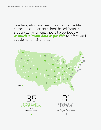Teachers, who have been consistently identified as the most important school-based factor in student achievement, should be equipped with *as much relevant data as possible* to inform and supplement their efforts.

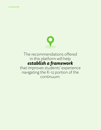

## The recommendations offered in this platform will help *establish a framework*

that improves students' experience navigating the K-12 portion of the continuum.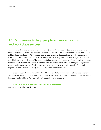## ACT's mission is to help people achieve education and workplace success.

At a time when the nation's economy is quickly changing and states are gearing up to teach and assess to a higher, college- and career-ready standard, this K-12 Education Policy Platform extends that mission into the public policy arena, bringing ACT's unique experience and research in education and workforce assessment to bear on the challenge of ensuring that all students are able to progress successfully along the continuum from kindergarten through career. The recommendations offered in this platform—focus on college and career readiness for all students, ensure that all students have access to a core curriculum and rigorous high school courses, and promote the use of high-quality student assessment systems—will establish a framework that improves students' experience navigating the K-12 portion of the continuum.

To be effective, such efforts at the K-12 level must be coordinated with improvements to our postsecondary and workforce systems. This is why ACT has prepared three Policy Platforms – K-12 Education, Postsecondary Education, and Workforce Development – with related recommendations.

#### **All of ACT's Policy Platforms are available online:**

www.act.org/policyplatforms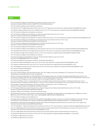#### **Notes**

- 1. ACT, *The Condition of College and Career Readiness 2013: National* (Iowa City, IA: ACT, 2013), *http://www.act.org/research/policymakers/cccr13/pdf/CCCR13-NationalReadinessRpt.pdf*.
- 2. ACT, *The Condition of College and Career Readiness 2013: National*.
- 3. ACT, *What Are the ACT College Readiness Benchmarks?* (Iowa City, IA: ACT, September 2013), *http://www.act.org/research/policymakers/pdf/benchmarks.pdf.*
- 4. ACT, *Ready for College and Ready for Work: Same or Different?* (Iowa City, IA: ACT, 2006), *http://www.act.org/research/policymakers/pdf/ReadinessBrief.pdf.*
- 5. ACT, *The Condition of College and Career Readiness 2013: National.*
- 6. ACT, *The Condition of College and Career Readiness 2013: African American Students* (Iowa City, IA: ACT, 2013), *http://www.act.org/newsroom/data/2013/states/pdf/AfricanAmerican.pdf*.
- 7. ACT, *The Condition of College and Career Readiness 2013: Hispanic Students* (Iowa City, IA: ACT, 2013), *http://www.act.org/newsroom/data/2013/states/pdf/Hispanic.pdf*.
- 8. ACT, *The Condition of College and Career Readiness 2013: Students from Low-Income Families* (Iowa City, IA: ACT, 2013), *http://www.act.org/newsroom/data/2013/states/pdf/LowIncomeStudents.pdf*.
- 9. ACT, *The Condition of College and Career Readiness 2013: First-Generation Students* (Iowa City, IA: ACT, 2013), *http://www.act.org/newsroom/data/2013/states/pdf/FirstGeneration.pdf*.
- 10. ACT, *The Condition of College and Career Readiness 2013: National*.
- 11. ACT, *The Condition of College and Career Readiness 2013: Asian Students* (Iowa City, IA: ACT, 2013), *http://www.act.org/newsroom/data/2013/states/pdf/Asian.pdf*.
- 12. ACT, *Early High School Achievement and College Enrollment* (Iowa City, IA: ACT, April 2013), *http://www.act.org/research/researchers/briefs/pdf/2013-14.pdf*.
- 13. ACT, *Catching Up To College and Career Readiness* (Austin, TX: ACT, 2012), *http://www.act.org/research/policymakers/pdf/CatchingUpToCCR.pdf.*
- 14. ACT, *The Condition of College and Career Readiness 2013: National.*
- 15. ACT, *Enhancing College and Career Readiness and Success: The Role of Academic Behaviors* (Iowa City, IA: ACT), *http://www.act.org/engage/pdf/ENGAGE\_Issue\_Brief.pdf*.
- 16. ACT, *Enhancing College and Career Readiness and Success: The Role of Academic Behaviors*
- 17. ACT, *Importance of Student Self-Regulation* (Iowa City, IA: ACT, January 2013), *http://www.act.org/research/researchers/briefs/pdf/2013-3.pdf*.
- 18. ACT, *Importance of Student Motivation* (Iowa City, IA: ACT, January 2013), *http://www.act.org/research/researchers/briefs/pdf/2013-1.pdf*.
- 19. ACT, *Social Engagement and Extracurricular Activities* (Iowa City, IA: ACT, January 2013), *http://www.act.org/research/researchers/briefs/pdf/2013-2.pdf*.
- 20. ACT, *Importance of Student Self-Regulation*.
- 21. ACT, *Importance of Student Motivation*.
- Kevin Carey, *A Matter of Degrees: Improving Graduation Rates in Four-Year Colleges and Universities* (Washington, DC: The Education Trust, May 2004), *http://planning.ucsc.edu/retention/Docs/a\_matter\_of\_degrees.pdf*.
- 23. Jill Casner-Lotto and Linda Barrington, *Are They Really Ready to Work?: Employers' Perspectives on the Basic Knowledge and Applied Skills of New Entrants to the 21st Century U.S. Workforce* (New York: The Conference Board, Inc., the Partnership for 21st Century Skills, Corporate Voices for Working Families, and the Society for Human Resource Management, 2006), *http://www.conference-board.org/pdf\_free/BED-06-workforce.pdf*.
- 24. M.A. Hanson and Walter C. Borman, "Citizenship Performance: An Integrative Review and Motivational Analysis," in *Performance Measurement: Current Perspectives and Future Challenges*, ed. Winston Bennett, Jr., Charles E. Lance, and David J. Woehr (Mahwah, NJ: Lawrence Erlbaum Associates, 2006), 141–173.
- 25. Chrys Dougherty, *College and Career Readiness: The Importance of Early Learning* (Iowa City, IA: ACT, February 2013), *http://www.act.org/research/policymakers/pdf/ImportanceofEarlyLearning.pdf*.
- 26. ACT, *The Forgotten Middle: Ensuring that All Students Are on Target for College and Career Readiness before High School* (Iowa City, IA: ACT, 2008), *http://www.act.org/research/policymakers/pdf/ForgottenMiddle.pdf.*
- 27. Dougherty, *College and Career Readiness: The Importance of Early Learning*.
- 28. Daniel Weisberg, Susan Sexton, Jennifer Mulhern, and David Keeling, *The Widget Effect: Our National Failure to Acknowledge and Act on Differences in Teacher Effectiveness*, 2nd ed. (The New Teacher Project, 2009). *http://widgeteffect.org/downloads/TheWidgetEffect.pdf*.
- 29. ACT, *The Condition of College and Career Readiness 2013.*
- 30. Christopher Mazzeo, *College Prep for All?: What We've Learned from Chicago's Efforts* (Chicago: Consortium on Chicago School Research, University of Chicago Urban Education Institute, August 2010), *http://ccsr.uchicago.edu/sites/default/files/publications/College%20Prep%207x10-10-%20final%20082610.pdf*.
- Richard Buddin and Michelle Croft, Missing the Mark: Students Gain Little from Mandating Extra Math and Science Courses (Iowa City, IA: ACT, August 2014), *http://www.act.org/reserach/policymakers/pdf/MissingtheMark.pdf.*
- 32. ACT, *ACT Profile Report National: Graduating Class 2013, National* (Iowa City, IA: ACT, 2013), *http://www.act.org/newsroom/data/2013/pdf/profile/National2013.pdf*.
- 33. ACT, *ACT College Readiness Benchmark Attainment by Family Income Level and Completion of the ACT-Recommended Core Curriculum 2013* (Iowa City, IA: ACT, September 2013), *http://www.act.org/research/researchers/briefs/pdf/2013-27.pdf*.
- 34. ACT, *ACT College Readiness Benchmark Attainment by Family Income Level and Completion of the ACT-Recommended Core Curriculum 2013.*
- 35. ACT, *Benefits of a High School Core Curriculum* (Iowa City, IA: ACT, 2006), *http://www.act.org/research/policymakers/pdf/core\_curriculum.pdf*.
- 36. ACT, *Benefits of a High School Core Curriculum*.
- 37. ACT, *Benefits of a High School Core Curriculum*.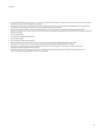- 38. An "expressed" interest is the choice of a major or occupation that corresponds with STEM fields. A "measured" interest is a response on the ACT Interest Inventory that indicates an interest in a STEM-related major or occupation.
- 39. David Langdon, George McKittrick, David Beede, Beethika Khan, and Mark Doms, *STEM: Good Jobs Now and for the Future* (Washington, DC: U.S. Department of Commerce, Economics and Statistics Administration, July 2011), *http://meteorology.rutgers.edu/STEM.pdf*.
- 40. Council of Chief State School Officers, *Transition to High-Quality, College- and Career-Ready Assessments: Principles to Guide State Leadership and Federal Requirements* (Washington, DC: Council of Chief State School Officers, May 23, 2013), *http://www.ccsso.org/Documents/2013/CCSSO\_State\_Principles\_on\_Assessment\_ Transition\_5-23-13.pdf*.
- 41. ACT, *The Forgotten Middle.*
- 42. ACT, *Catching Up To College and Career Readiness*.
- 43. ACT, *The Forgotten Middle*.
- 44. ACT, *Catching Up To College and Career Readiness*.
- 45. Daniel F. McCaffrey, J. R. Lockwood, Daniel M. Koretz, and Laura S. Hamilton, *Evaluating Value-Added Models for Teacher Accountability* (Santa Monica, CA: RAND Corporation, 2003), *http://www.rand.org/content/dam/rand/pubs/monographs/2004/RAND\_MG158.pdf*.
- 46. Data Quality Campaign, *Right Questions, Right Data, Right Answers: Data for Action 2013* (Washington, DC: Data Quality Campaign, November 2013), *http://dataqualitycampaign.org/files/DataForAction2013.pdf*.
- 47. Data Quality Campaign, *Teacher Data Literacy: It's About Time—A Brief for State Policymakers* (Washington, DC: Data Quality Campaign, February 2014), *http://www.dataqualitycampaign.org/files/DQC-Data%20Literacy%20Brief.pdf.*